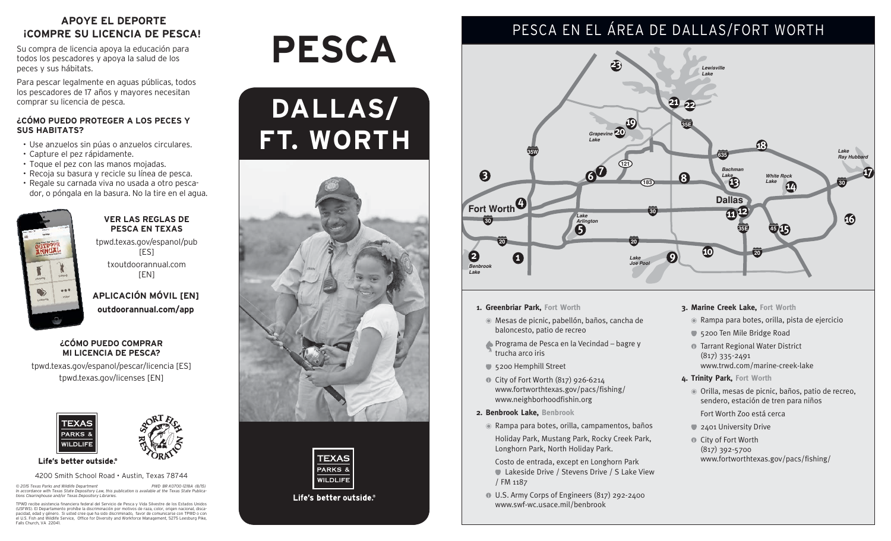### **APOYE EL DEPORTE ¡COMPRE SU LICENCIA DE PESCA!**

Su compra de licencia apoya la educación para todos los pescadores y apoya la salud de los peces y sus hábitats.

Para pescar legalmente en aguas públicas, todos los pescadores de 17 años y mayores necesitan comprar su licencia de pesca.

#### **¿CÓMO PUEDO PROTEGER A LOS PECES Y SUS HABITATS?**

- • Use anzuelos sin púas o anzuelos circulares.
- • Capture el pez rápidamente.
- Toque el pez con las manos mojadas.
- • Recoja su basura y recicle su línea de pesca.
- • Regale su carnada viva no usada a otro pescador, o póngala en la basura. No la tire en el agua.



#### **VER LAS REGLAS DE PESCA EN TEXAS**

tpwd.texas.gov/espanol/pub [ES] txoutdoorannual.com

[EN]

**APLICACIÓN MÓVIL [EN] outdoorannual.com/app**

#### **¿CÓMO PUEDO COMPRAR MI LICENCIA DE PESCA?**

tpwd.texas.gov/espanol/pescar/licencia [ES] tpwd.texas.gov/licenses [EN]





Life's better outside.®

4200 Smith School Road • Austin, Texas 78744

© 2015 Texas Parks and Wildlife Department<br>In accordance with Texas State Depository Law, this publication is available at the Texas State Publica-<br>tions Clearinghouse and/or Texas Depository Libraries.

TPWD recibe asistencia financiera federal del Servicio de Pesca y Vida Silvestre de los Estados Unidos<br>(USFWS). El Departamento prohíbe la discriminación por motivos de raza, color, origen nacional, disca-<br>pacidad, edad y Falls Church, VA 22041

# **Pesca**







Life's better outside.

## PESCA EN EL ÁREA DE dallas/fort worth



- **1. Greenbriar Park, Fort Worth**
	- Mesas de picnic, pabellón, baños, cancha de baloncesto, patio de recreo
	- Programa de Pesca en la Vecindad bagre y trucha arco iris
	- 5200 Hemphill Street
	- City of Fort Worth (817) 926-6214 www.fortworthtexas.gov/pacs/fishing/ www.neighborhoodfishin.org
- **2. Benbrook Lake, Benbrook**
	- Rampa para botes, orilla, campamentos, baños Holiday Park, Mustang Park, Rocky Creek Park, Longhorn Park, North Holiday Park.

 Costo de entrada, except en Longhorn Park Lakeside Drive / Stevens Drive / S Lake View / FM 1187

U.S. Army Corps of Engineers (817) 292-2400 www.swf-wc.usace.mil/benbrook

#### **3. Marine Creek Lake, Fort Worth**

- Rampa para botes, orilla, pista de ejercicio
- 5200 Ten Mile Bridge Road
- **Tarrant Regional Water District** (817) 335-2491 www.trwd.com/marine-creek-lake
- **4. Trinity Park, Fort Worth**
	- Orilla, mesas de picnic, baños, patio de recreo, sendero, estación de tren para niños
	- Fort Worth Zoo está cerca
	- 2401 University Drive
	- **O** City of Fort Worth (817) 392-5700 www.fortworthtexas.gov/pacs/fishing/